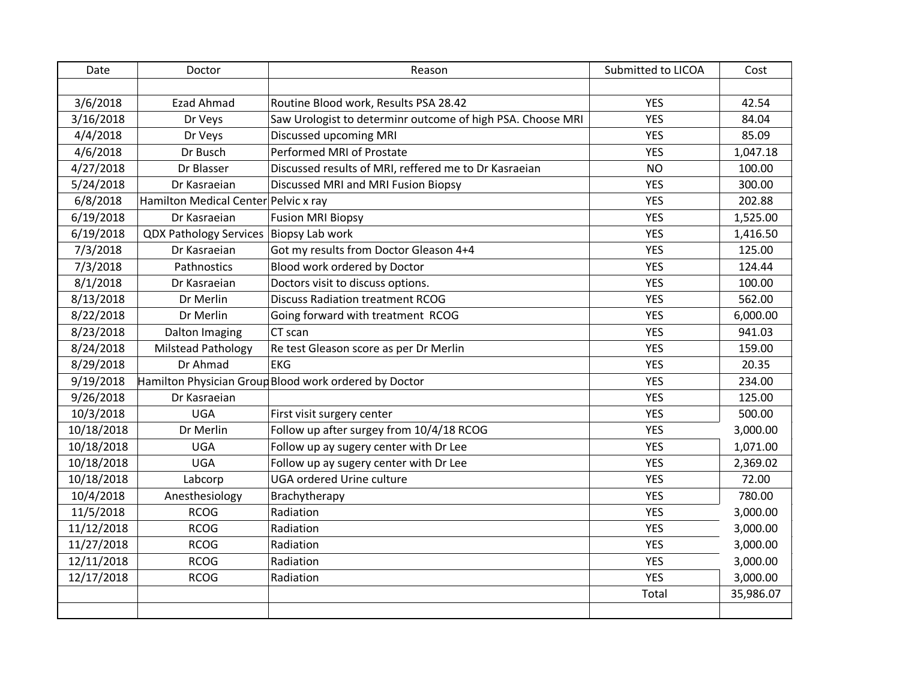| Date       | Doctor                                 | Reason                                                     | Submitted to LICOA | Cost      |
|------------|----------------------------------------|------------------------------------------------------------|--------------------|-----------|
|            |                                        |                                                            |                    |           |
| 3/6/2018   | <b>Ezad Ahmad</b>                      | Routine Blood work, Results PSA 28.42                      | <b>YES</b>         | 42.54     |
| 3/16/2018  | Dr Veys                                | Saw Urologist to determinr outcome of high PSA. Choose MRI | <b>YES</b>         | 84.04     |
| 4/4/2018   | Dr Veys                                | Discussed upcoming MRI                                     | <b>YES</b>         | 85.09     |
| 4/6/2018   | Dr Busch                               | Performed MRI of Prostate                                  | <b>YES</b>         | 1,047.18  |
| 4/27/2018  | Dr Blasser                             | Discussed results of MRI, reffered me to Dr Kasraeian      | <b>NO</b>          | 100.00    |
| 5/24/2018  | Dr Kasraeian                           | Discussed MRI and MRI Fusion Biopsy                        | <b>YES</b>         | 300.00    |
| 6/8/2018   | Hamilton Medical Center Pelvic x ray   |                                                            | <b>YES</b>         | 202.88    |
| 6/19/2018  | Dr Kasraeian                           | <b>Fusion MRI Biopsy</b>                                   | <b>YES</b>         | 1,525.00  |
| 6/19/2018  | QDX Pathology Services Biopsy Lab work |                                                            | <b>YES</b>         | 1,416.50  |
| 7/3/2018   | Dr Kasraeian                           | Got my results from Doctor Gleason 4+4                     | <b>YES</b>         | 125.00    |
| 7/3/2018   | Pathnostics                            | Blood work ordered by Doctor                               | <b>YES</b>         | 124.44    |
| 8/1/2018   | Dr Kasraeian                           | Doctors visit to discuss options.                          | <b>YES</b>         | 100.00    |
| 8/13/2018  | Dr Merlin                              | <b>Discuss Radiation treatment RCOG</b>                    | <b>YES</b>         | 562.00    |
| 8/22/2018  | Dr Merlin                              | Going forward with treatment RCOG                          | <b>YES</b>         | 6,000.00  |
| 8/23/2018  | Dalton Imaging                         | CT scan                                                    | <b>YES</b>         | 941.03    |
| 8/24/2018  | <b>Milstead Pathology</b>              | Re test Gleason score as per Dr Merlin                     | <b>YES</b>         | 159.00    |
| 8/29/2018  | Dr Ahmad                               | <b>EKG</b>                                                 | <b>YES</b>         | 20.35     |
| 9/19/2018  |                                        | Hamilton Physician Group Blood work ordered by Doctor      | <b>YES</b>         | 234.00    |
| 9/26/2018  | Dr Kasraeian                           |                                                            | <b>YES</b>         | 125.00    |
| 10/3/2018  | <b>UGA</b>                             | First visit surgery center                                 | <b>YES</b>         | 500.00    |
| 10/18/2018 | Dr Merlin                              | Follow up after surgey from 10/4/18 RCOG                   | <b>YES</b>         | 3,000.00  |
| 10/18/2018 | <b>UGA</b>                             | Follow up ay sugery center with Dr Lee                     | <b>YES</b>         | 1,071.00  |
| 10/18/2018 | <b>UGA</b>                             | Follow up ay sugery center with Dr Lee                     | <b>YES</b>         | 2,369.02  |
| 10/18/2018 | Labcorp                                | <b>UGA ordered Urine culture</b>                           | <b>YES</b>         | 72.00     |
| 10/4/2018  | Anesthesiology                         | Brachytherapy                                              | <b>YES</b>         | 780.00    |
| 11/5/2018  | <b>RCOG</b>                            | Radiation                                                  | <b>YES</b>         | 3,000.00  |
| 11/12/2018 | <b>RCOG</b>                            | Radiation                                                  | <b>YES</b>         | 3,000.00  |
| 11/27/2018 | <b>RCOG</b>                            | Radiation                                                  | <b>YES</b>         | 3,000.00  |
| 12/11/2018 | <b>RCOG</b>                            | Radiation                                                  | <b>YES</b>         | 3,000.00  |
| 12/17/2018 | <b>RCOG</b>                            | Radiation                                                  | <b>YES</b>         | 3,000.00  |
|            |                                        |                                                            | Total              | 35,986.07 |
|            |                                        |                                                            |                    |           |